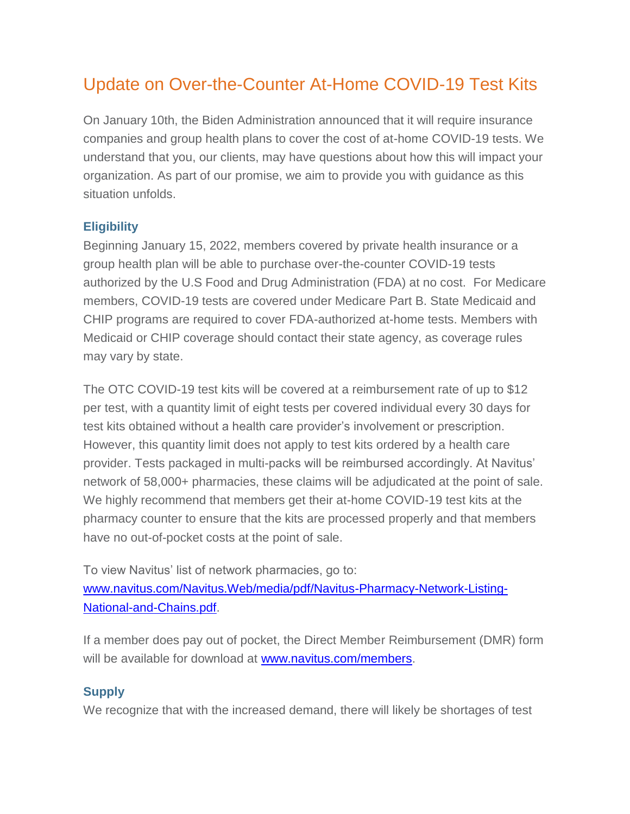# Update on Over-the-Counter At-Home COVID-19 Test Kits

On January 10th, the Biden Administration announced that it will require insurance companies and group health plans to cover the cost of at-home COVID-19 tests. We understand that you, our clients, may have questions about how this will impact your organization. As part of our promise, we aim to provide you with guidance as this situation unfolds.

### **Eligibility**

Beginning January 15, 2022, members covered by private health insurance or a group health plan will be able to purchase over-the-counter COVID-19 tests authorized by the U.S Food and Drug Administration (FDA) at no cost. For Medicare members, COVID-19 tests are covered under Medicare Part B. State Medicaid and CHIP programs are required to cover FDA-authorized at-home tests. Members with Medicaid or CHIP coverage should contact their state agency, as coverage rules may vary by state.

The OTC COVID-19 test kits will be covered at a reimbursement rate of up to \$12 per test, with a quantity limit of eight tests per covered individual every 30 days for test kits obtained without a health care provider's involvement or prescription. However, this quantity limit does not apply to test kits ordered by a health care provider. Tests packaged in multi-packs will be reimbursed accordingly. At Navitus' network of 58,000+ pharmacies, these claims will be adjudicated at the point of sale. We highly recommend that members get their at-home COVID-19 test kits at the pharmacy counter to ensure that the kits are processed properly and that members have no out-of-pocket costs at the point of sale.

To view Navitus' list of network pharmacies, go to: [www.navitus.com/Navitus.Web/media/pdf/Navitus-Pharmacy-Network-Listing-](https://urldefense.com/v3/__https:/nam02.safelinks.protection.outlook.com/?url=https*3A*2F*2Fcx9r804.na1.hubspotlinks.com*2FBtc*2FGC*2B113*2Fcx9R804*2FVX2zL-36PQ53W5MRR472v3w_GW3fCDQw4Dj7p7N2K0T295nKv5V3Zsc37CgYrCVRsQLk1xg3nqW1Lv2kh8fDmbcW6xmXqZ8HSXVsW43ZtM841kgj-W1c-Czc5FSSvCW1LMbk44BWk_3W8G2L7W1gJ6qDW4JgVrX15yr9vW9d_TJg8cmP68W1mvng46k0hcxVxTZwd89_TJxVwVmq01Y0qGmW3pWHpz7hjCcrW7SNVL99dSQr5W1lcVmT7tGd_DW339WsW2bdYSSW53xcj71Jqc6sW8NpHg03999BhW13G99g85q08tW3GKRgt45VjDDW3_G_5Q4k6yjhV2tzNP70--c5V2bScX5Z99qqW5lN9Hr34LFw4W7ChkwF9jY98FW829QwV3y3z67W4fGZZS2qrmcyN93FyyCPYQ0wW4M1PVB4bcjF5W7C8PCW5SHl8JW6RkVg_1sGC1MV_j3b251c6vk36q51&data=04*7C01*7CKStarr*40mcatrusts.org*7C8ff11ca85bc6499ce11808d9d78603ef*7C98a7acc8ab62411f805aa4c80f80d332*7C0*7C0*7C637777792875521369*7CUnknown*7CTWFpbGZsb3d8eyJWIjoiMC4wLjAwMDAiLCJQIjoiV2luMzIiLCJBTiI6Ik1haWwiLCJXVCI6Mn0*3D*7C3000&sdata=endGacI2N6YBgf2xSme7VNVYcj8h8vjhnlJNDD9FsIg*3D&reserved=0__;JSUlJSUlJSUlJSUlJSUlJSUlJSUl!!FEyU5bU!SKE3eRRa1sKmT-aCMCfMZYsoKjBnPSpi6ML05knO7zPA3lTK6Y3zzB5WxydyQSgFHHg33kuSVE4W$)[National-and-Chains.pdf.](https://urldefense.com/v3/__https:/nam02.safelinks.protection.outlook.com/?url=https*3A*2F*2Fcx9r804.na1.hubspotlinks.com*2FBtc*2FGC*2B113*2Fcx9R804*2FVX2zL-36PQ53W5MRR472v3w_GW3fCDQw4Dj7p7N2K0T295nKv5V3Zsc37CgYrCVRsQLk1xg3nqW1Lv2kh8fDmbcW6xmXqZ8HSXVsW43ZtM841kgj-W1c-Czc5FSSvCW1LMbk44BWk_3W8G2L7W1gJ6qDW4JgVrX15yr9vW9d_TJg8cmP68W1mvng46k0hcxVxTZwd89_TJxVwVmq01Y0qGmW3pWHpz7hjCcrW7SNVL99dSQr5W1lcVmT7tGd_DW339WsW2bdYSSW53xcj71Jqc6sW8NpHg03999BhW13G99g85q08tW3GKRgt45VjDDW3_G_5Q4k6yjhV2tzNP70--c5V2bScX5Z99qqW5lN9Hr34LFw4W7ChkwF9jY98FW829QwV3y3z67W4fGZZS2qrmcyN93FyyCPYQ0wW4M1PVB4bcjF5W7C8PCW5SHl8JW6RkVg_1sGC1MV_j3b251c6vk36q51&data=04*7C01*7CKStarr*40mcatrusts.org*7C8ff11ca85bc6499ce11808d9d78603ef*7C98a7acc8ab62411f805aa4c80f80d332*7C0*7C0*7C637777792875521369*7CUnknown*7CTWFpbGZsb3d8eyJWIjoiMC4wLjAwMDAiLCJQIjoiV2luMzIiLCJBTiI6Ik1haWwiLCJXVCI6Mn0*3D*7C3000&sdata=endGacI2N6YBgf2xSme7VNVYcj8h8vjhnlJNDD9FsIg*3D&reserved=0__;JSUlJSUlJSUlJSUlJSUlJSUlJSUl!!FEyU5bU!SKE3eRRa1sKmT-aCMCfMZYsoKjBnPSpi6ML05knO7zPA3lTK6Y3zzB5WxydyQSgFHHg33kuSVE4W$)

If a member does pay out of pocket, the Direct Member Reimbursement (DMR) form will be available for download at [www.navitus.com/members.](https://urldefense.com/v3/__https:/nam02.safelinks.protection.outlook.com/?url=https*3A*2F*2Fcx9r804.na1.hubspotlinks.com*2FBtc*2FGC*2B113*2Fcx9R804*2FVX2zL-36PQ53W5MRR472v3w_GW3fCDQw4Dj7p7N2K0T333q8_QV1-WJV7CgH-2W1XrqN460BCXrW606JXm61XGKfW4TzbYx17PtKNW4D4w4-4G3zWqW6yMTs83KKD2cV96GLZ4lz8t2W1LDJsc2FDvZPW4PLrrp91WPqcW1zZbxH6hJKhGW70qBPk7Lg0MMW75vfPP5JB9-pW2XWpf_7qYCm_W9b0hqR8V5zCPW5vHNFv3NDkyWW8sQKqG6VMJvMW4hPJ078sPbt1W8Hd5WJ87RT6kW5rBhKZ2ZQx9gMffzVjMV7YhW3STsfQ7HJPgNN8RDq1pgXTX-W9h1xTj2_M87Y3mm11&data=04*7C01*7CKStarr*40mcatrusts.org*7C8ff11ca85bc6499ce11808d9d78603ef*7C98a7acc8ab62411f805aa4c80f80d332*7C0*7C0*7C637777792875531361*7CUnknown*7CTWFpbGZsb3d8eyJWIjoiMC4wLjAwMDAiLCJQIjoiV2luMzIiLCJBTiI6Ik1haWwiLCJXVCI6Mn0*3D*7C3000&sdata=K*2BlUC7*2Be*2F5TL09VwtRnMWh*2FqcVA6OmcG09yk0Jt1aG8*3D&reserved=0__;JSUlJSUlJSUlJSUlJSUlJSUlJSUlJSUlJQ!!FEyU5bU!SKE3eRRa1sKmT-aCMCfMZYsoKjBnPSpi6ML05knO7zPA3lTK6Y3zzB5WxydyQSgFHHg33vGkOw_N$)

#### **Supply**

We recognize that with the increased demand, there will likely be shortages of test